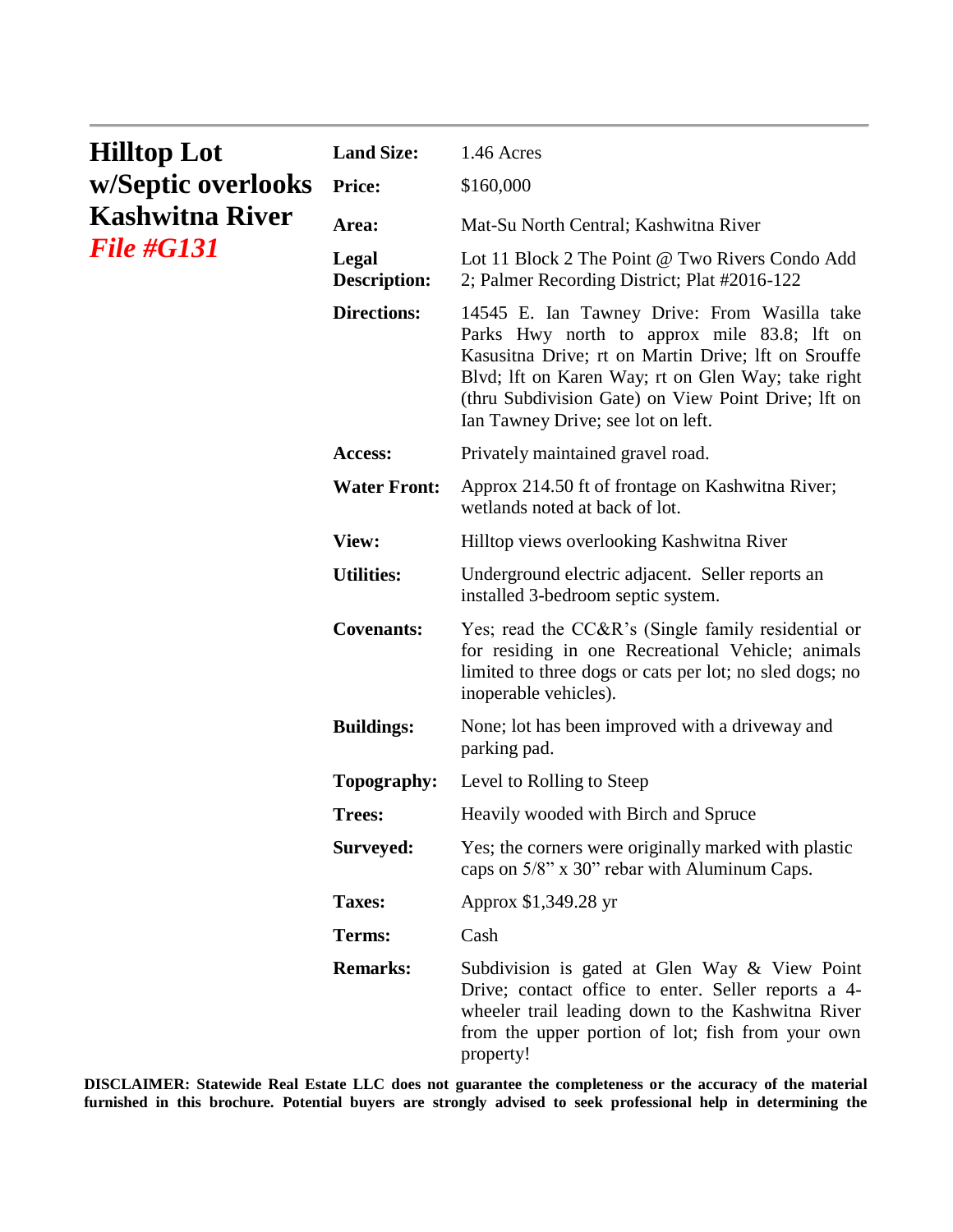| <b>Hilltop Lot</b><br>w/Septic overlooks<br>Kashwitna River<br><i>File #G131</i> | <b>Land Size:</b>            | 1.46 Acres                                                                                                                                                                                                                                                                                            |
|----------------------------------------------------------------------------------|------------------------------|-------------------------------------------------------------------------------------------------------------------------------------------------------------------------------------------------------------------------------------------------------------------------------------------------------|
|                                                                                  | <b>Price:</b>                | \$160,000                                                                                                                                                                                                                                                                                             |
|                                                                                  | Area:                        | Mat-Su North Central; Kashwitna River                                                                                                                                                                                                                                                                 |
|                                                                                  | Legal<br><b>Description:</b> | Lot 11 Block 2 The Point @ Two Rivers Condo Add<br>2; Palmer Recording District; Plat #2016-122                                                                                                                                                                                                       |
|                                                                                  | <b>Directions:</b>           | 14545 E. Ian Tawney Drive: From Wasilla take<br>Parks Hwy north to approx mile 83.8; Ift on<br>Kasusitna Drive; rt on Martin Drive; lft on Srouffe<br>Blvd; Ift on Karen Way; rt on Glen Way; take right<br>(thru Subdivision Gate) on View Point Drive; Ift on<br>Ian Tawney Drive; see lot on left. |
|                                                                                  | Access:                      | Privately maintained gravel road.                                                                                                                                                                                                                                                                     |
|                                                                                  | <b>Water Front:</b>          | Approx 214.50 ft of frontage on Kashwitna River;<br>wetlands noted at back of lot.                                                                                                                                                                                                                    |
|                                                                                  | View:                        | Hilltop views overlooking Kashwitna River                                                                                                                                                                                                                                                             |
|                                                                                  | <b>Utilities:</b>            | Underground electric adjacent. Seller reports an<br>installed 3-bedroom septic system.                                                                                                                                                                                                                |
|                                                                                  | <b>Covenants:</b>            | Yes; read the CC&R's (Single family residential or<br>for residing in one Recreational Vehicle; animals<br>limited to three dogs or cats per lot; no sled dogs; no<br>inoperable vehicles).                                                                                                           |
|                                                                                  | <b>Buildings:</b>            | None; lot has been improved with a driveway and<br>parking pad.                                                                                                                                                                                                                                       |
|                                                                                  | Topography:                  | Level to Rolling to Steep                                                                                                                                                                                                                                                                             |
|                                                                                  | <b>Trees:</b>                | Heavily wooded with Birch and Spruce                                                                                                                                                                                                                                                                  |
|                                                                                  | Surveyed:                    | Yes; the corners were originally marked with plastic<br>caps on 5/8" x 30" rebar with Aluminum Caps.                                                                                                                                                                                                  |
|                                                                                  | <b>Taxes:</b>                | Approx \$1,349.28 yr                                                                                                                                                                                                                                                                                  |
|                                                                                  | Terms:                       | Cash                                                                                                                                                                                                                                                                                                  |
|                                                                                  | <b>Remarks:</b>              | Subdivision is gated at Glen Way & View Point<br>Drive; contact office to enter. Seller reports a 4-<br>wheeler trail leading down to the Kashwitna River<br>from the upper portion of lot; fish from your own<br>property!                                                                           |

**DISCLAIMER: Statewide Real Estate LLC does not guarantee the completeness or the accuracy of the material furnished in this brochure. Potential buyers are strongly advised to seek professional help in determining the**